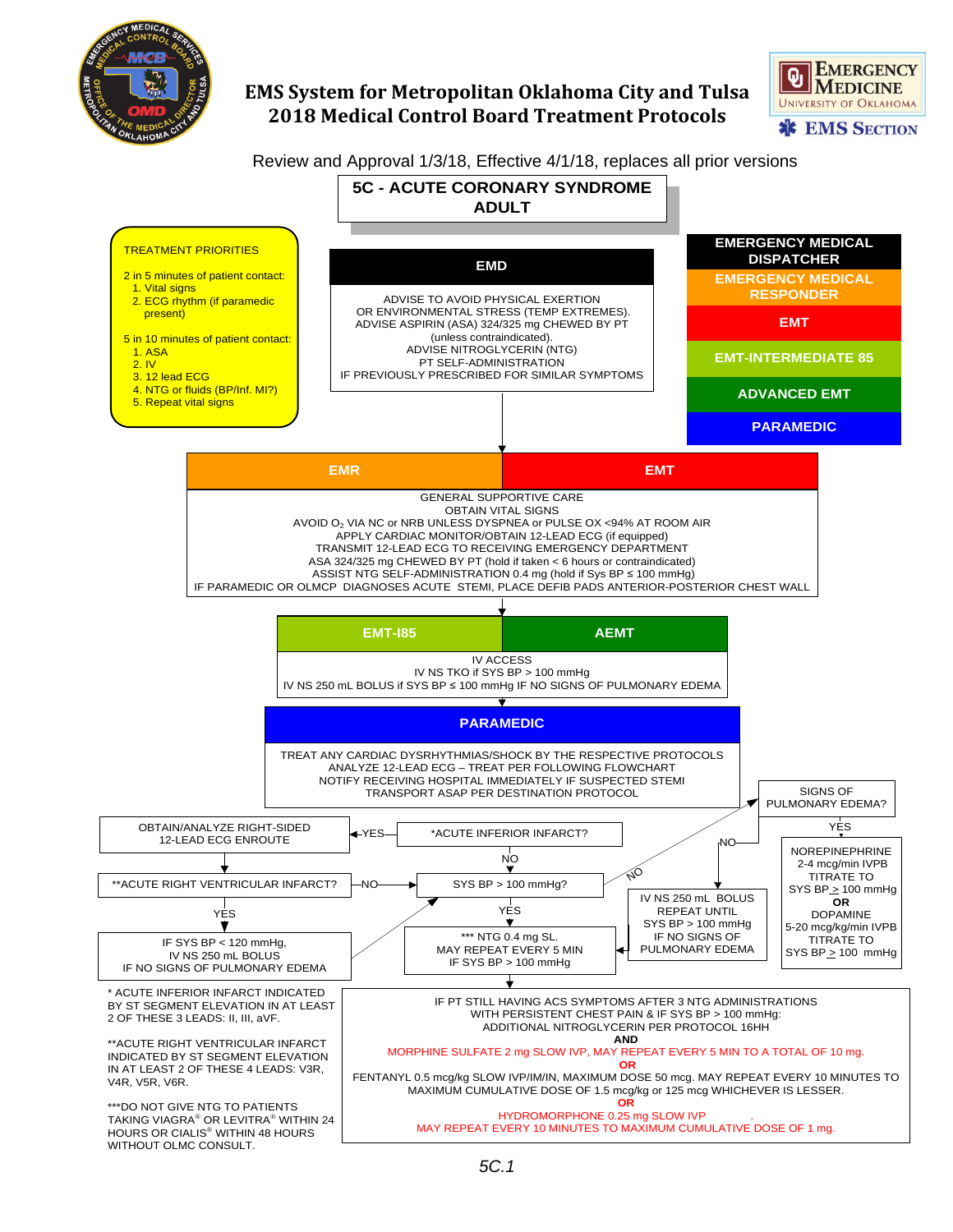

## **EMS System for Metropolitan Oklahoma City and Tulsa 2018 Medical Control Board Treatment Protocols**

**EMERGENCY UNIVERSITY OF OKLAHOMA \*\* EMS SECTION** 

## Review and Approval 1/3/18, Effective 4/1/18, replaces all prior versions